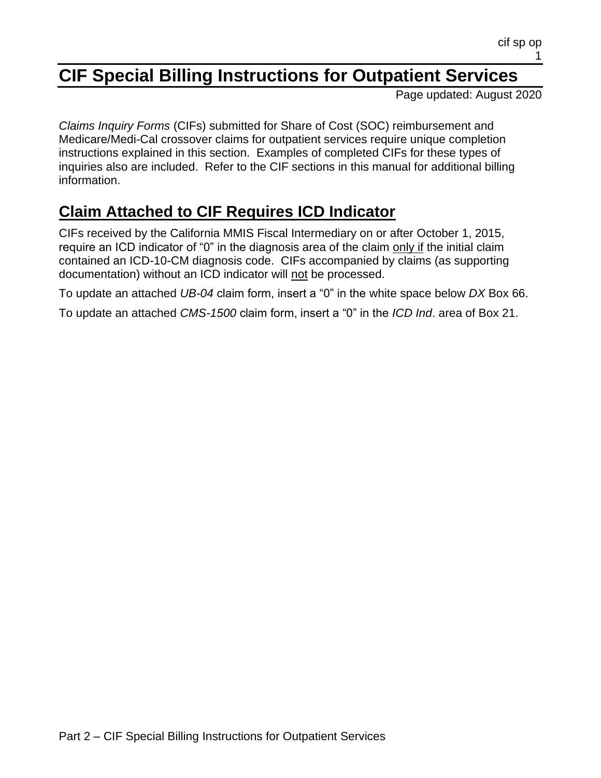# **CIF Special Billing Instructions for Outpatient Services**

Page updated: August 2020

*Claims Inquiry Forms* (CIFs) submitted for Share of Cost (SOC) reimbursement and Medicare/Medi-Cal crossover claims for outpatient services require unique completion instructions explained in this section. Examples of completed CIFs for these types of inquiries also are included. Refer to the CIF sections in this manual for additional billing information.

# **Claim Attached to CIF Requires ICD Indicator**

CIFs received by the California MMIS Fiscal Intermediary on or after October 1, 2015, require an ICD indicator of "0" in the diagnosis area of the claim only if the initial claim contained an ICD-10-CM diagnosis code. CIFs accompanied by claims (as supporting documentation) without an ICD indicator will not be processed.

To update an attached *UB-04* claim form, insert a "0" in the white space below *DX* Box 66.

To update an attached *CMS-1500* claim form, insert a "0" in the *ICD Ind*. area of Box 21.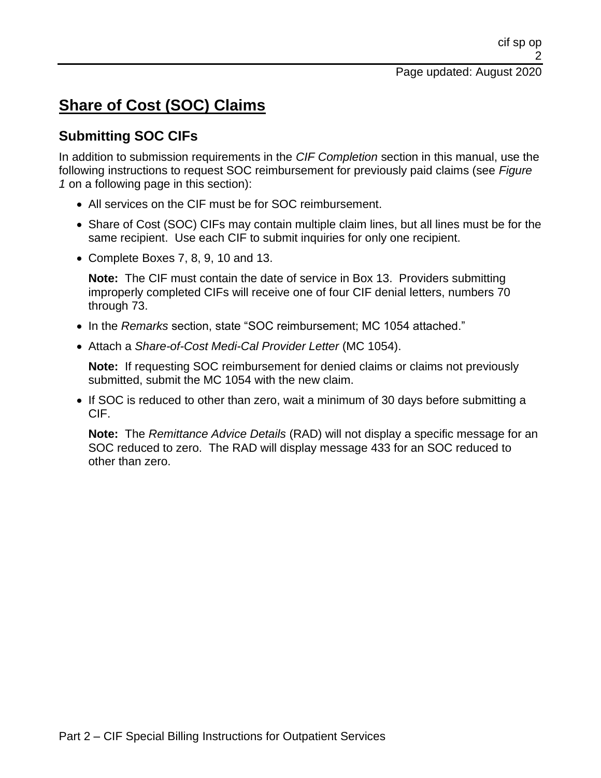# **Share of Cost (SOC) Claims**

#### **Submitting SOC CIFs**

In addition to submission requirements in the *CIF Completion* section in this manual, use the following instructions to request SOC reimbursement for previously paid claims (see *Figure 1* on a following page in this section):

- All services on the CIF must be for SOC reimbursement.
- Share of Cost (SOC) CIFs may contain multiple claim lines, but all lines must be for the same recipient. Use each CIF to submit inquiries for only one recipient.
- Complete Boxes 7, 8, 9, 10 and 13.

**Note:** The CIF must contain the date of service in Box 13. Providers submitting improperly completed CIFs will receive one of four CIF denial letters, numbers 70 through 73.

- In the *Remarks* section, state "SOC reimbursement; MC 1054 attached."
- Attach a *Share-of-Cost Medi-Cal Provider Letter* (MC 1054).

**Note:** If requesting SOC reimbursement for denied claims or claims not previously submitted, submit the MC 1054 with the new claim.

• If SOC is reduced to other than zero, wait a minimum of 30 days before submitting a CIF.

**Note:** The *Remittance Advice Details* (RAD) will not display a specific message for an SOC reduced to zero. The RAD will display message 433 for an SOC reduced to other than zero.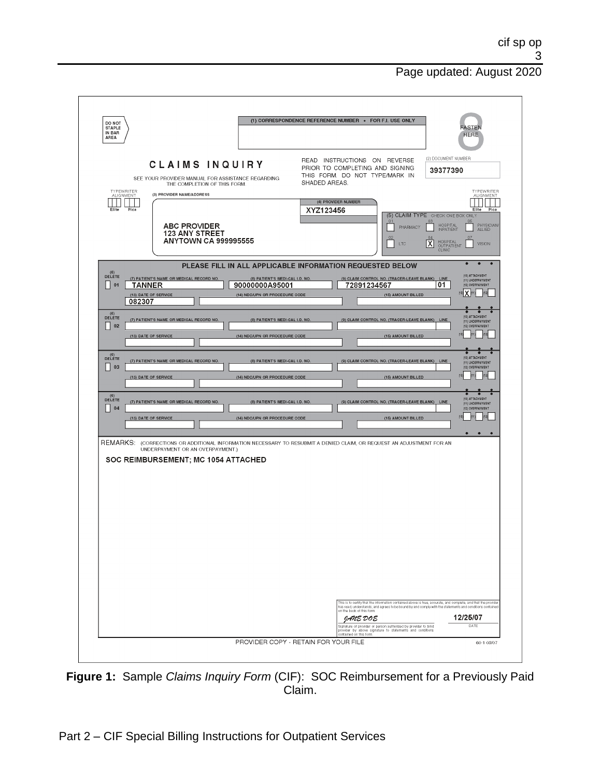| DO NOT<br><b>STAPLE</b><br>IN BAR<br>AREA |                                                                                                                                         |                                                                                     | (1) CORRESPONDENCE REFERENCE NUMBER . FOR F.I. USE ONLY                                                                                   |                                                                                                                                 | <b>ASTEN</b><br><b>HERE</b>                                                                                                                                                                                                                    |
|-------------------------------------------|-----------------------------------------------------------------------------------------------------------------------------------------|-------------------------------------------------------------------------------------|-------------------------------------------------------------------------------------------------------------------------------------------|---------------------------------------------------------------------------------------------------------------------------------|------------------------------------------------------------------------------------------------------------------------------------------------------------------------------------------------------------------------------------------------|
| TYPEWRITER<br><b>ALIGNMENT</b>            | <b>CLAIMS INQUIRY</b><br>SEE YOUR PROVIDER MANUAL FOR ASSISTANCE REGARDING<br>THE COMPLETION OF THIS FORM.<br>(3) PROVIDER NAME/ADDRESS |                                                                                     | READ INSTRUCTIONS ON REVERSE<br>PRIOR TO COMPLETING AND SIGNING<br>THIS FORM. DO NOT TYPE/MARK IN<br>SHADED AREAS.<br>(4) PROVIDER NUMBER |                                                                                                                                 | (2) DOCUMENT NUMBER<br>39377390<br>TYPEWRITER<br>ALIGNMENT                                                                                                                                                                                     |
| Elite                                     | Pica<br><b>ABC PROVIDER</b><br><b>123 ANY STREET</b><br><b>ANYTOWN CA 999995555</b>                                                     |                                                                                     | XYZ123456                                                                                                                                 | 01<br>PHARMACY<br>LTC                                                                                                           | Elite<br>Pica<br>(5) CLAIM TYPE CHECK ONE BOX ONLY<br>05<br><b>HOSPITAL</b><br>PHYSICIAN/<br><b>INPATIENT</b><br><b>ALLIED</b><br>HOSPITAL<br>OUTPATIENT<br>᠓<br><b>VISION</b><br>CLINIC                                                       |
| $(E)$ DELETE<br>01                        | (7) PATIENT'S NAME OR MEDICAL RECORD NO.<br><b>TANNER</b><br>(13) DATE OF SERVICE<br>082307                                             | (8) PATIENT'S MEDI-CAL I.D. NO.<br>90000000A95001<br>(14) NDC/UPN OR PROCEDURE CODE | PLEASE FILL IN ALL APPLICABLE INFORMATION REQUESTED BELOW<br>72891234567                                                                  | (9) CLAIM CONTROL NO. (TRACER-LEAVE BLANK) LINE<br>(15) AMOUNT BILLED                                                           | $\bullet$<br>$\bullet$<br><b>HOLATTACHMENT</b><br>(11) UNDERPAYMENT<br>01<br>(12) OVERPAYMENT                                                                                                                                                  |
| $(E)$ DELETE<br>02                        | (7) PATIENT'S NAME OR MEDICAL RECORD NO.<br>(13) DATE OF SERVICE                                                                        | (8) PATIENT'S MEDI-CAL I.D. NO.<br>(14) NDC/UPN OR PROCEDURE CODE                   |                                                                                                                                           | (9) CLAIM CONTROL NO. (TRACER-LEAVE BLANK) LINE<br>(15) AMOUNT BILLED                                                           | (10) ATTACHMENT<br>(11) UNDERPAYMENT<br>(12) OVERPAYMENT<br>n2<br>M <sub>0</sub>                                                                                                                                                               |
| $(E)$ DELETE<br>03                        | (7) PATIENT'S NAME OR MEDICAL RECORD NO.<br>(13) DATE OF SERVICE                                                                        | (8) PATIENT'S MEDI-CAL I.D. NO<br>(14) NDC/UPN OR PROCEDURE CODE                    |                                                                                                                                           | (9) CLAIM CONTROL NO. (TRACER-LEAVE BLANK) LINE<br>(15) AMOUNT BILLED                                                           | (10) ATTACHMENT<br>(11) UNDERPAYMENT<br>(12) OVERPAYMENT                                                                                                                                                                                       |
| (6)<br>DELETE<br>04                       | (7) PATIENT'S NAME OR MEDICAL RECORD NO.<br>(13) DATE OF SERVICE                                                                        | (8) PATIENT'S MEDI-CAL I.D. NO.<br>(14) NDC/UPN OR PROCEDURE CODE                   |                                                                                                                                           | (9) CLAIM CONTROL NO. (TRACER-LEAVE BLANK) LINE<br>(15) AMOUNT BILLED                                                           | (10) ATTACHMENT<br>(11) UNDERPAYMENT<br>(12) OVERPAYMENT<br>(12)<br>[10]<br>$\bullet$<br>$\bullet$<br>$\bullet$                                                                                                                                |
|                                           | UNDERPAYMENT OR AN OVERPAYMENT.)<br>SOC REIMBURSEMENT; MC 1054 ATTACHED                                                                 |                                                                                     | REMARKS; (CORRECTIONS OR ADDITIONAL INFORMATION NECESSARY TO RESUBMIT A DENIED CLAIM, OR REQUEST AN ADJUSTMENT FOR AN                     |                                                                                                                                 |                                                                                                                                                                                                                                                |
|                                           |                                                                                                                                         |                                                                                     | on the back of this form.<br>JANE DOE                                                                                                     | .<br>Signature of provider or person authorized by provider to bind<br>provider by above signature to statements and conditions | This is to certify that the information contained above is true, accurate, and complete, and that the provider<br>has read, understands, and agrees to be bound by and comply with the statements and conditions contained<br>12/25/07<br>DATE |
|                                           |                                                                                                                                         |                                                                                     | ontained on this form.                                                                                                                    |                                                                                                                                 |                                                                                                                                                                                                                                                |

**Figure 1:** Sample *Claims Inquiry Form* (CIF): SOC Reimbursement for a Previously Paid Claim.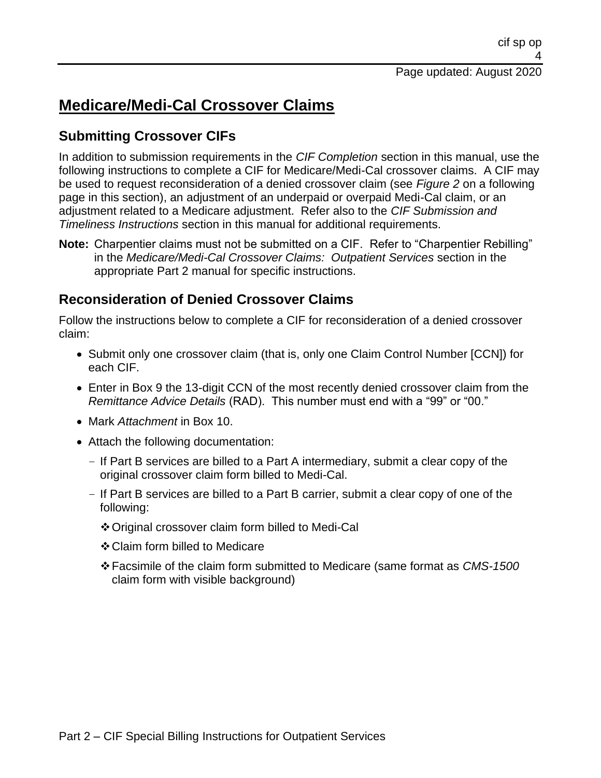## **Medicare/Medi-Cal Crossover Claims**

### **Submitting Crossover CIFs**

In addition to submission requirements in the *CIF Completion* section in this manual, use the following instructions to complete a CIF for Medicare/Medi-Cal crossover claims. A CIF may be used to request reconsideration of a denied crossover claim (see *Figure 2* on a following page in this section), an adjustment of an underpaid or overpaid Medi-Cal claim, or an adjustment related to a Medicare adjustment. Refer also to the *CIF Submission and Timeliness Instructions* section in this manual for additional requirements.

**Note:** Charpentier claims must not be submitted on a CIF. Refer to "Charpentier Rebilling" in the *Medicare/Medi-Cal Crossover Claims: Outpatient Services* section in the appropriate Part 2 manual for specific instructions.

### **Reconsideration of Denied Crossover Claims**

Follow the instructions below to complete a CIF for reconsideration of a denied crossover claim:

- Submit only one crossover claim (that is, only one Claim Control Number [CCN]) for each CIF.
- Enter in Box 9 the 13-digit CCN of the most recently denied crossover claim from the *Remittance Advice Details* (RAD). This number must end with a "99" or "00."
- Mark *Attachment* in Box 10.
- Attach the following documentation:
	- If Part B services are billed to a Part A intermediary, submit a clear copy of the original crossover claim form billed to Medi-Cal.
	- If Part B services are billed to a Part B carrier, submit a clear copy of one of the following:
		- ❖Original crossover claim form billed to Medi-Cal
		- ❖Claim form billed to Medicare
		- ❖Facsimile of the claim form submitted to Medicare (same format as *CMS-1500* claim form with visible background)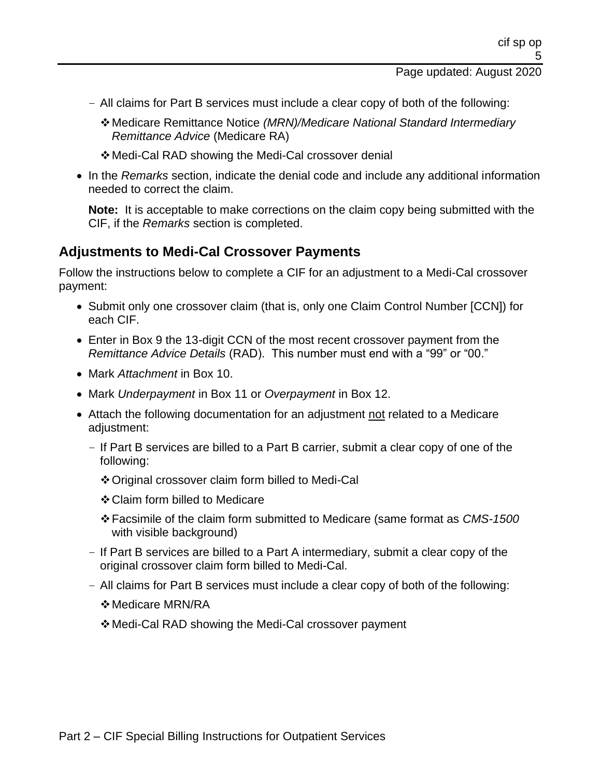- All claims for Part B services must include a clear copy of both of the following:
	- ❖Medicare Remittance Notice *(MRN)/Medicare National Standard Intermediary Remittance Advice* (Medicare RA)
	- ❖Medi-Cal RAD showing the Medi-Cal crossover denial
- In the *Remarks* section, indicate the denial code and include any additional information needed to correct the claim.

**Note:** It is acceptable to make corrections on the claim copy being submitted with the CIF, if the *Remarks* section is completed.

#### **Adjustments to Medi-Cal Crossover Payments**

Follow the instructions below to complete a CIF for an adjustment to a Medi-Cal crossover payment:

- Submit only one crossover claim (that is, only one Claim Control Number [CCN]) for each CIF.
- Enter in Box 9 the 13-digit CCN of the most recent crossover payment from the *Remittance Advice Details* (RAD). This number must end with a "99" or "00."
- Mark *Attachment* in Box 10.
- Mark *Underpayment* in Box 11 or *Overpayment* in Box 12.
- Attach the following documentation for an adjustment not related to a Medicare adiustment:
	- If Part B services are billed to a Part B carrier, submit a clear copy of one of the following:
		- ❖Original crossover claim form billed to Medi-Cal
		- ❖Claim form billed to Medicare
		- ❖Facsimile of the claim form submitted to Medicare (same format as *CMS-1500* with visible background)
	- If Part B services are billed to a Part A intermediary, submit a clear copy of the original crossover claim form billed to Medi-Cal.
	- All claims for Part B services must include a clear copy of both of the following:
		- ❖Medicare MRN/RA
		- ❖Medi-Cal RAD showing the Medi-Cal crossover payment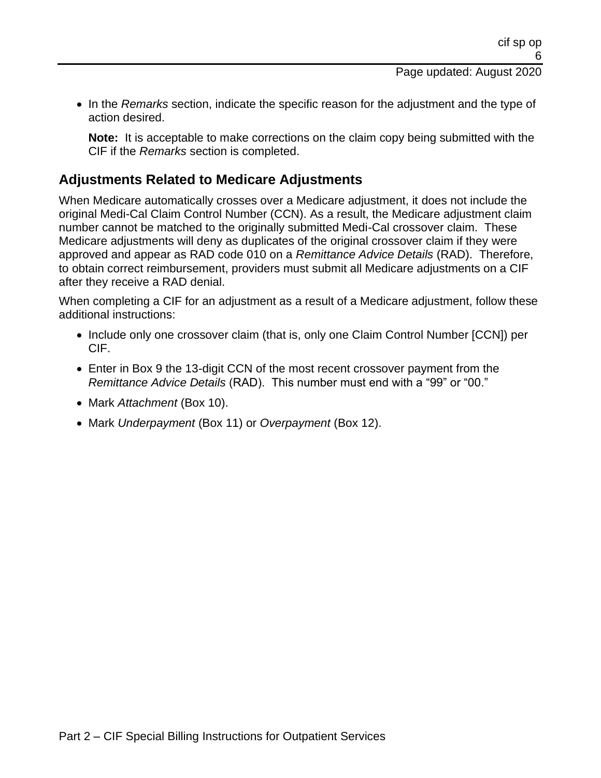• In the *Remarks* section, indicate the specific reason for the adjustment and the type of action desired.

**Note:** It is acceptable to make corrections on the claim copy being submitted with the CIF if the *Remarks* section is completed.

#### **Adjustments Related to Medicare Adjustments**

When Medicare automatically crosses over a Medicare adjustment, it does not include the original Medi-Cal Claim Control Number (CCN). As a result, the Medicare adjustment claim number cannot be matched to the originally submitted Medi-Cal crossover claim. These Medicare adjustments will deny as duplicates of the original crossover claim if they were approved and appear as RAD code 010 on a *Remittance Advice Details* (RAD). Therefore, to obtain correct reimbursement, providers must submit all Medicare adjustments on a CIF after they receive a RAD denial.

When completing a CIF for an adjustment as a result of a Medicare adjustment, follow these additional instructions:

- Include only one crossover claim (that is, only one Claim Control Number [CCN]) per CIF.
- Enter in Box 9 the 13-digit CCN of the most recent crossover payment from the *Remittance Advice Details* (RAD). This number must end with a "99" or "00."
- Mark *Attachment* (Box 10).
- Mark *Underpayment* (Box 11) or *Overpayment* (Box 12).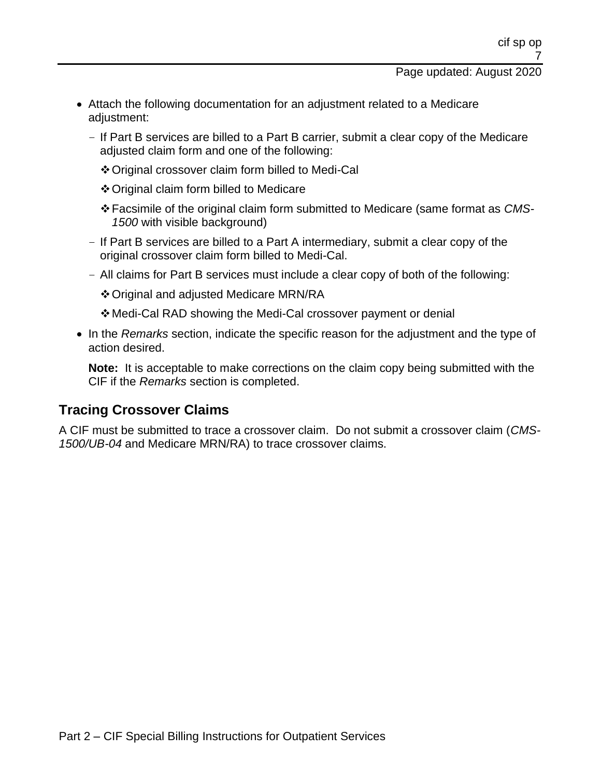- Attach the following documentation for an adjustment related to a Medicare adjustment:
	- If Part B services are billed to a Part B carrier, submit a clear copy of the Medicare adjusted claim form and one of the following:
		- ❖Original crossover claim form billed to Medi-Cal
		- ❖Original claim form billed to Medicare
		- ❖Facsimile of the original claim form submitted to Medicare (same format as *CMS-1500* with visible background)
	- If Part B services are billed to a Part A intermediary, submit a clear copy of the original crossover claim form billed to Medi-Cal.
	- All claims for Part B services must include a clear copy of both of the following:
		- ❖Original and adjusted Medicare MRN/RA
		- ❖Medi-Cal RAD showing the Medi-Cal crossover payment or denial
- In the *Remarks* section, indicate the specific reason for the adjustment and the type of action desired.

**Note:** It is acceptable to make corrections on the claim copy being submitted with the CIF if the *Remarks* section is completed.

#### **Tracing Crossover Claims**

A CIF must be submitted to trace a crossover claim. Do not submit a crossover claim (*CMS-1500/UB-04* and Medicare MRN/RA) to trace crossover claims.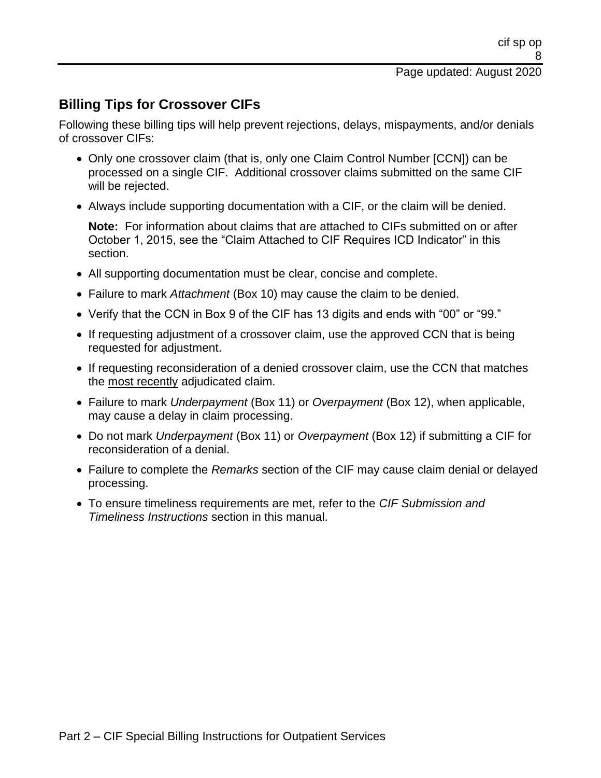## **Billing Tips for Crossover CIFs**

Following these billing tips will help prevent rejections, delays, mispayments, and/or denials of crossover CIFs:

- Only one crossover claim (that is, only one Claim Control Number [CCN]) can be processed on a single CIF. Additional crossover claims submitted on the same CIF will be rejected.
- Always include supporting documentation with a CIF, or the claim will be denied.

**Note:** For information about claims that are attached to CIFs submitted on or after October 1, 2015, see the "Claim Attached to CIF Requires ICD Indicator" in this section.

- All supporting documentation must be clear, concise and complete.
- Failure to mark *Attachment* (Box 10) may cause the claim to be denied.
- Verify that the CCN in Box 9 of the CIF has 13 digits and ends with "00" or "99."
- If requesting adjustment of a crossover claim, use the approved CCN that is being requested for adjustment.
- If requesting reconsideration of a denied crossover claim, use the CCN that matches the most recently adjudicated claim.
- Failure to mark *Underpayment* (Box 11) or *Overpayment* (Box 12), when applicable, may cause a delay in claim processing.
- Do not mark *Underpayment* (Box 11) or *Overpayment* (Box 12) if submitting a CIF for reconsideration of a denial.
- Failure to complete the *Remarks* section of the CIF may cause claim denial or delayed processing.
- To ensure timeliness requirements are met, refer to the *CIF Submission and Timeliness Instructions* section in this manual.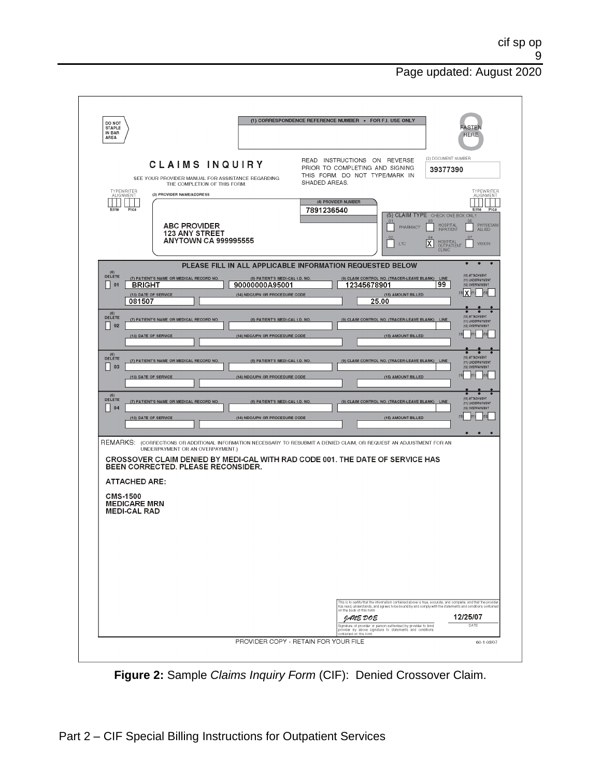| DO NOT<br><b>STAPLE</b><br>IN BAR<br>AREA                                             |                                                                                                                                                                                                                 |                                                                                                                                                          | (1) CORRESPONDENCE REFERENCE NUMBER . FOR F.I. USE ONLY                                                                                                                                                |                                                                                                                                                         | <b>FASTEN</b><br><b>HERE</b>                                                                                                                                                                                                                                   |
|---------------------------------------------------------------------------------------|-----------------------------------------------------------------------------------------------------------------------------------------------------------------------------------------------------------------|----------------------------------------------------------------------------------------------------------------------------------------------------------|--------------------------------------------------------------------------------------------------------------------------------------------------------------------------------------------------------|---------------------------------------------------------------------------------------------------------------------------------------------------------|----------------------------------------------------------------------------------------------------------------------------------------------------------------------------------------------------------------------------------------------------------------|
| TYPEWRITER<br>ALIGNMENT<br>Elite<br>Pica                                              | CLAIMS INQUIRY<br>SEE YOUR PROVIDER MANUAL FOR ASSISTANCE REGARDING<br>THE COMPLETION OF THIS FORM.<br>(3) PROVIDER NAME/ADDRESS<br><b>ABC PROVIDER</b><br><b>123 ANY STREET</b><br><b>ANYTOWN CA 999995555</b> |                                                                                                                                                          | READ INSTRUCTIONS ON REVERSE<br>PRIOR TO COMPLETING AND SIGNING<br>THIS FORM. DO NOT TYPE/MARK IN<br>SHADED AREAS.<br>(4) PROVIDER NUMBER<br>7891236540                                                | 01<br>PHARMACY<br>LTC                                                                                                                                   | (2) DOCUMENT NUMBER<br>39377390<br>TYPEWRITER<br>ALIGNMENT<br>Pica<br>Elite<br>(5) CLAIM TYPE CHECK ONE BOX ONLY<br>05<br>PHYSICIAN/<br>ALLIED<br><b>HOSPITAL</b><br><b>INPATIENT</b><br>HOSPITAL<br>OUTPATIENT<br>CLINIC<br>$\overline{\mathtt{x}}$<br>VISION |
| $(E)$ DELETE<br>01<br><b>BRIGHT</b><br>081507<br>$(E)$ DELETE<br>$\vert 02 \vert$     | (7) PATIENT'S NAME OR MEDICAL RECORD NO.<br>(13) DATE OF SERVICE<br>(7) PATIENT'S NAME OR MEDICAL RECORD NO.<br>(13) DATE OF SERVICE                                                                            | (8) PATIENT'S MEDI-CAL I.D. NO.<br>90000000A95001<br>(14) NDC/UPN OR PROCEDURE CODE<br>(8) PATIENT'S MEDI-CAL I.D. NO.<br>(14) NDC/UPN OR PROCEDURE CODE | PLEASE FILL IN ALL APPLICABLE INFORMATION REQUESTED BELOW<br>12345678901                                                                                                                               | (9) CLAIM CONTROL NO. (TRACER-LEAVE BLANK) LINE<br>(15) AMOUNT BILLED<br>25.00<br>(9) CLAIM CONTROL NO. (TRACER-LEAVE BLANK) LINE<br>(15) AMOUNT BILLED | $\bullet$<br>$\bullet$<br>٠<br>(10) ATTACHMENT<br>(11) UNDERPAYMENT<br>99<br>(12) OVERPAYMENT<br>[10] X<br><b>HOI ATTACHMENT</b><br>(11) UNDERPAYMENT<br>(12) OVERPAYMENT<br>n2                                                                                |
| $(E)$ DELETE<br>$\vert$ 03<br>(6)<br>DELETE<br>$\vert$ 04                             | (7) PATIENT'S NAME OR MEDICAL RECORD NO.<br>(13) DATE OF SERVICE<br>(7) PATIENT'S NAME OR MEDICAL RECORD NO.<br>(13) DATE OF SERVICE                                                                            | (8) PATIENT'S MEDI-CAL I.D. NO.<br>(14) NDC/UPN OR PROCEDURE CODE<br>(8) PATIENT'S MEDI-CAL I.D. NO.<br>(14) NDC/UPN OR PROCEDURE CODE                   |                                                                                                                                                                                                        | (9) CLAIM CONTROL NO. (TRACER-LEAVE BLANK) LINE<br>(15) AMOUNT BILLED<br>(9) CLAIM CONTROL NO. (TRACER-LEAVE BLANK) LINE<br>(15) AMOUNT BILLED          | (10) ATTACHMENT<br>(11) UNDERPAYMENT<br>(12) OVERPAYMENT<br>(10) ATTACHMENT<br>(11) UNDERPAYMENT<br>(12) OVERPAYMENT<br>T <sub>2</sub>                                                                                                                         |
| <b>ATTACHED ARE:</b><br><b>CMS-1500</b><br><b>MEDICARE MRN</b><br><b>MEDI-CAL RAD</b> | UNDERPAYMENT OR AN OVERPAYMENT.)<br>BEEN CORRECTED. PLEASE RECONSIDER.                                                                                                                                          |                                                                                                                                                          | REMARKS: (CORRECTIONS OR ADDITIONAL INFORMATION NECESSARY TO RESUBMIT A DENIED CLAIM, OR REQUEST AN ADJUSTMENT FOR AN<br>CROSSOVER CLAIM DENIED BY MEDI-CAL WITH RAD CODE 001. THE DATE OF SERVICE HAS |                                                                                                                                                         | $\bullet$<br>$\bullet$<br>$\bullet$                                                                                                                                                                                                                            |
|                                                                                       |                                                                                                                                                                                                                 |                                                                                                                                                          | on the back of this form.<br>JANE DOE                                                                                                                                                                  |                                                                                                                                                         | This is to certify that the information contained above is true, accurate, and complete, and that the provide<br>has read, understands, and agrees to be bound by and comply with the statements and conditions contained<br>12/25/07                          |
|                                                                                       |                                                                                                                                                                                                                 |                                                                                                                                                          |                                                                                                                                                                                                        | Signature of provider or person authorized by provider to bind<br>provider by above signature to statements and conditions                              | DATE                                                                                                                                                                                                                                                           |

**Figure 2:** Sample *Claims Inquiry Form* (CIF): Denied Crossover Claim.